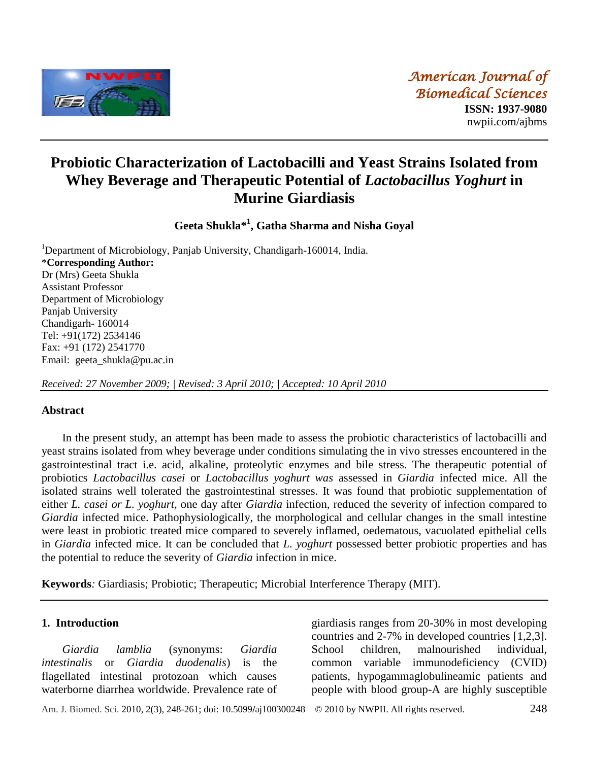

# **Probiotic Characterization of Lactobacilli and Yeast Strains Isolated from Whey Beverage and Therapeutic Potential of** *Lactobacillus Yoghurt* **in Murine Giardiasis**

**Geeta Shukla\* 1 , Gatha Sharma and Nisha Goyal**

<sup>1</sup>Department of Microbiology, Panjab University, Chandigarh-160014, India. \***Corresponding Author:** Dr (Mrs) Geeta Shukla Assistant Professor Department of Microbiology Panjab University Chandigarh- 160014 Tel: +91(172) 2534146 Fax: +91 (172) 2541770 Email: geeta\_shukla@pu.ac.in

*Received: 27 November 2009; | Revised: 3 April 2010; | Accepted: 10 April 2010*

### **Abstract**

In the present study, an attempt has been made to assess the probiotic characteristics of lactobacilli and yeast strains isolated from whey beverage under conditions simulating the in vivo stresses encountered in the gastrointestinal tract i.e. acid, alkaline, proteolytic enzymes and bile stress. The therapeutic potential of probiotics *Lactobacillus casei* or *Lactobacillus yoghurt was* assessed in *Giardia* infected mice. All the isolated strains well tolerated the gastrointestinal stresses. It was found that probiotic supplementation of either *L. casei or L. yoghurt,* one day after *Giardia* infection, reduced the severity of infection compared to *Giardia* infected mice. Pathophysiologically, the morphological and cellular changes in the small intestine were least in probiotic treated mice compared to severely inflamed, oedematous, vacuolated epithelial cells in *Giardia* infected mice. It can be concluded that *L. yoghurt* possessed better probiotic properties and has the potential to reduce the severity of *Giardia* infection in mice.

**Keywords***:* Giardiasis; Probiotic; Therapeutic; Microbial Interference Therapy (MIT).

#### **1. Introduction**

*Giardia lamblia* (synonyms: *Giardia intestinalis* or *Giardia duodenalis*) is the flagellated intestinal protozoan which causes waterborne diarrhea worldwide. Prevalence rate of giardiasis ranges from 20-30% in most developing countries and 2-7% in developed countries [1,2,3]. School children, malnourished individual, common variable immunodeficiency (CVID) patients, hypogammaglobulineamic patients and people with blood group-A are highly susceptible

Am. J. Biomed. Sci. 2010, 2(3), 248-261; doi: 10.5099**/**aj100300248© 2010 by NWPII. All rights reserved. 248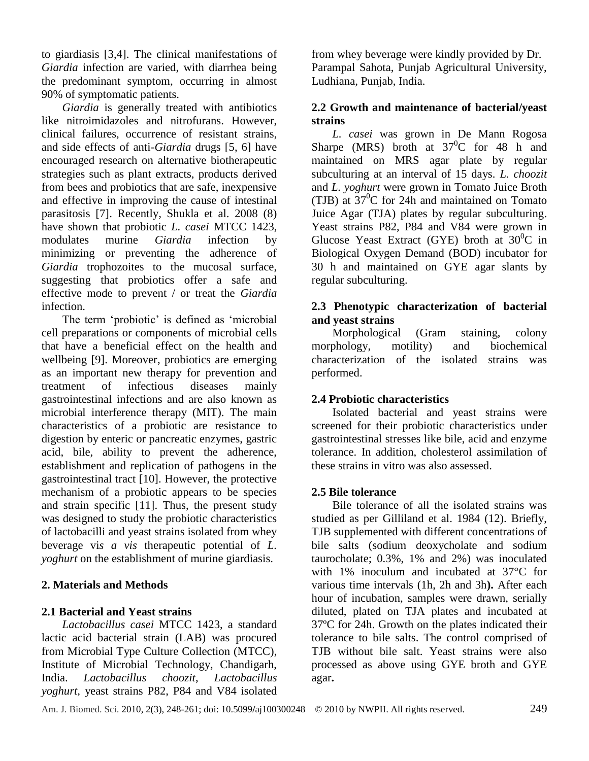to giardiasis [3,4]. The clinical manifestations of *Giardia* infection are varied, with diarrhea being the predominant symptom, occurring in almost 90% of symptomatic patients.

*Giardia* is generally treated with antibiotics like nitroimidazoles and nitrofurans. However, clinical failures, occurrence of resistant strains, and side effects of anti-*Giardia* drugs [5, 6] have encouraged research on alternative biotherapeutic strategies such as plant extracts, products derived from bees and probiotics that are safe, inexpensive and effective in improving the cause of intestinal parasitosis [7]. Recently, Shukla et al. 2008 (8) have shown that probiotic *L. casei* MTCC 1423, modulates murine *Giardia* infection by minimizing or preventing the adherence of *Giardia* trophozoites to the mucosal surface, suggesting that probiotics offer a safe and effective mode to prevent / or treat the *Giardia* infection.

The term 'probiotic' is defined as 'microbial cell preparations or components of microbial cells that have a beneficial effect on the health and wellbeing [9]. Moreover, probiotics are emerging as an important new therapy for prevention and treatment of infectious diseases mainly gastrointestinal infections and are also known as microbial interference therapy (MIT). The main characteristics of a probiotic are resistance to digestion by enteric or pancreatic enzymes, gastric acid, bile, ability to prevent the adherence, establishment and replication of pathogens in the gastrointestinal tract [10]. However, the protective mechanism of a probiotic appears to be species and strain specific [11]. Thus, the present study was designed to study the probiotic characteristics of lactobacilli and yeast strains isolated from whey beverage vi*s a vis* therapeutic potential of *L. yoghurt* on the establishment of murine giardiasis.

### **2. Materials and Methods**

### **2.1 Bacterial and Yeast strains**

*Lactobacillus casei* MTCC 1423, a standard lactic acid bacterial strain (LAB) was procured from Microbial Type Culture Collection (MTCC), Institute of Microbial Technology, Chandigarh, India. *Lactobacillus choozit*, *Lactobacillus yoghurt,* yeast strains P82, P84 and V84 isolated

from whey beverage were kindly provided by Dr. Parampal Sahota, Punjab Agricultural University, Ludhiana, Punjab, India.

# **2.2 Growth and maintenance of bacterial/yeast strains**

*L. casei* was grown in De Mann Rogosa Sharpe (MRS) broth at  $37^0C$  for 48 h and maintained on MRS agar plate by regular subculturing at an interval of 15 days. *L. choozit* and *L. yoghurt* were grown in Tomato Juice Broth (TJB) at  $37^{\circ}$ C for 24h and maintained on Tomato Juice Agar (TJA) plates by regular subculturing. Yeast strains P82, P84 and V84 were grown in Glucose Yeast Extract (GYE) broth at  $30^0C$  in Biological Oxygen Demand (BOD) incubator for 30 h and maintained on GYE agar slants by regular subculturing.

# **2.3 Phenotypic characterization of bacterial and yeast strains**

Morphological (Gram staining, colony morphology, motility) and biochemical characterization of the isolated strains was performed.

# **2.4 Probiotic characteristics**

Isolated bacterial and yeast strains were screened for their probiotic characteristics under gastrointestinal stresses like bile, acid and enzyme tolerance. In addition, cholesterol assimilation of these strains in vitro was also assessed.

### **2.5 Bile tolerance**

Bile tolerance of all the isolated strains was studied as per Gilliland et al. 1984 (12). Briefly, TJB supplemented with different concentrations of bile salts (sodium deoxycholate and sodium taurocholate; 0.3%, 1% and 2%) was inoculated with 1% inoculum and incubated at  $37^{\circ}$  for various time intervals (1h, 2h and 3h**).** After each hour of incubation, samples were drawn, serially diluted, plated on TJA plates and incubated at  $37<sup>o</sup>C$  for 24h. Growth on the plates indicated their tolerance to bile salts. The control comprised of TJB without bile salt. Yeast strains were also processed as above using GYE broth and GYE agar**.**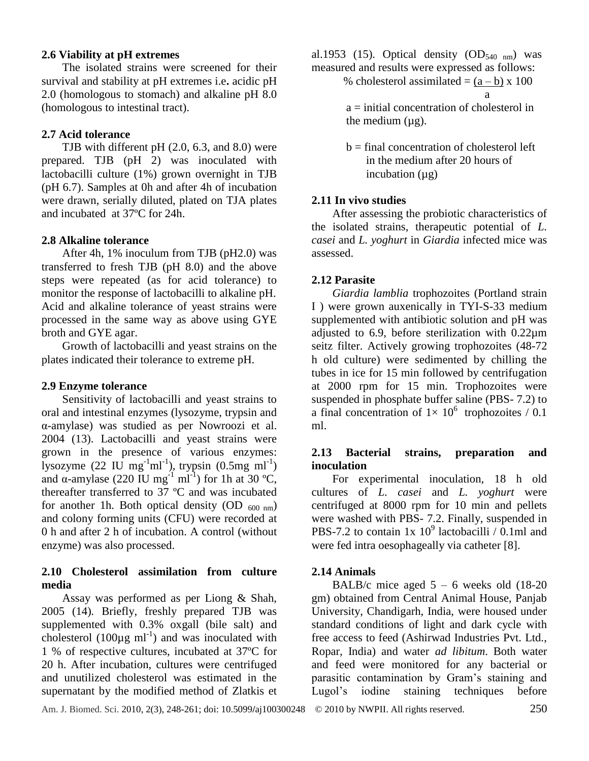### **2.6 Viability at pH extremes**

The isolated strains were screened for their survival and stability at pH extremes i.e**.** acidic pH 2.0 (homologous to stomach) and alkaline pH 8.0 (homologous to intestinal tract).

### **2.7 Acid tolerance**

TJB with different pH (2.0, 6.3, and 8.0) were prepared. TJB (pH 2) was inoculated with lactobacilli culture (1%) grown overnight in TJB (pH 6.7). Samples at 0h and after 4h of incubation were drawn, serially diluted, plated on TJA plates and incubated at  $37 \, \text{C}$  for 24h.

### **2.8 Alkaline tolerance**

After 4h, 1% inoculum from TJB (pH2.0) was transferred to fresh TJB (pH 8.0) and the above steps were repeated (as for acid tolerance) to monitor the response of lactobacilli to alkaline pH. Acid and alkaline tolerance of yeast strains were processed in the same way as above using GYE broth and GYE agar.

Growth of lactobacilli and yeast strains on the plates indicated their tolerance to extreme pH.

#### **2.9 Enzyme tolerance**

Sensitivity of lactobacilli and yeast strains to oral and intestinal enzymes (lysozyme, trypsin and α-amylase) was studied as per Nowroozi et al. 2004 (13). Lactobacilli and yeast strains were grown in the presence of various enzymes: lysozyme  $(22 \text{ IU} \text{ mg}^{-1} \text{ml}^{-1})$ , trypsin  $(0.5 \text{ mg} \text{ ml}^{-1})$ and  $\alpha$ -amylase (220 IU mg<sup>-1</sup> ml<sup>-1</sup>) for 1h at 30 °C, thereafter transferred to 37  $\mathbb C$  and was incubated for another 1h. Both optical density (OD  $_{600 \text{ nm}}$ ) and colony forming units (CFU) were recorded at 0 h and after 2 h of incubation. A control (without enzyme) was also processed.

### **2.10 Cholesterol assimilation from culture media**

Assay was performed as per Liong & Shah, 2005 (14)*.* Briefly, freshly prepared TJB was supplemented with 0.3% oxgall (bile salt) and cholesterol  $(100 \,\text{µg m}^{-1})$  and was inoculated with 1 % of respective cultures, incubated at 37  $\mathbb{C}$  for 20 h. After incubation, cultures were centrifuged and unutilized cholesterol was estimated in the supernatant by the modified method of Zlatkis et

al.1953 (15). Optical density  $OD<sub>540 nm</sub>$  was measured and results were expressed as follows:

% cholesterol assimilated =  $(a - b)$  x 100 <u>and</u> a state of the state of the state of the state of the state of the state of the state of the state of the state of the state of the state of the state of the state of the state of the state of the state of the state

 $a =$  initial concentration of cholesterol in the medium  $(\mu g)$ .

 $b =$  final concentration of cholesterol left in the medium after 20 hours of incubation  $(\mu g)$ 

### **2.11 In vivo studies**

After assessing the probiotic characteristics of the isolated strains, therapeutic potential of *L. casei* and *L. yoghurt* in *Giardia* infected mice was assessed.

### **2.12 Parasite**

*Giardia lamblia* trophozoites (Portland strain I ) were grown auxenically in TYI-S-33 medium supplemented with antibiotic solution and pH was adjusted to 6.9, before sterilization with  $0.22 \,\text{\mu m}$ seitz filter. Actively growing trophozoites (48-72 h old culture) were sedimented by chilling the tubes in ice for 15 min followed by centrifugation at 2000 rpm for 15 min. Trophozoites were suspended in phosphate buffer saline (PBS- 7.2) to a final concentration of  $1 \times 10^6$  trophozoites / 0.1 ml.

## **2.13 Bacterial strains, preparation and inoculation**

For experimental inoculation, 18 h old cultures of *L. casei* and *L. yoghurt* were centrifuged at 8000 rpm for 10 min and pellets were washed with PBS- 7.2. Finally, suspended in PBS-7.2 to contain  $1x 10^9$  lactobacilli / 0.1ml and were fed intra oesophageally via catheter [8].

#### **2.14 Animals**

BALB/c mice aged  $5 - 6$  weeks old  $(18-20)$ gm) obtained from Central Animal House, Panjab University, Chandigarh, India, were housed under standard conditions of light and dark cycle with free access to feed (Ashirwad Industries Pvt. Ltd., Ropar, India) and water *ad libitum*. Both water and feed were monitored for any bacterial or parasitic contamination by Gram's staining and Lugol's iodine staining techniques before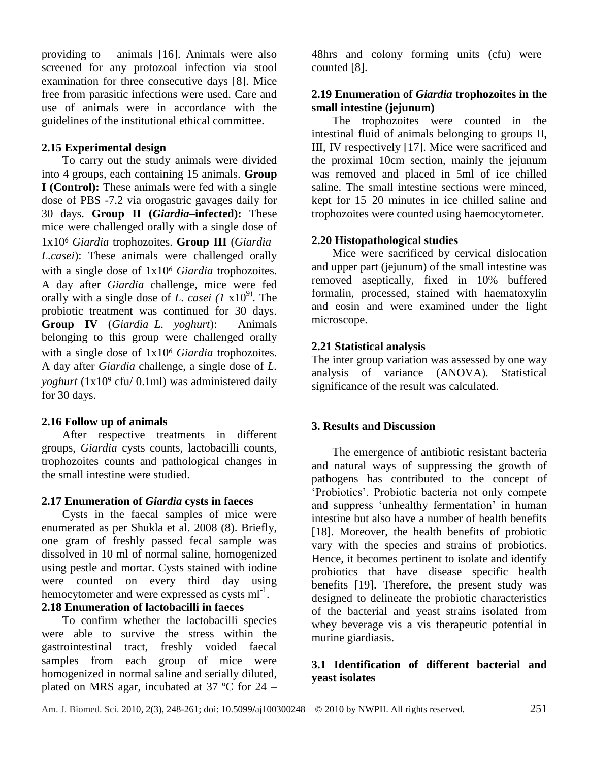providing to animals [16]. Animals were also screened for any protozoal infection via stool examination for three consecutive days [8]. Mice free from parasitic infections were used. Care and use of animals were in accordance with the guidelines of the institutional ethical committee.

### **2.15 Experimental design**

To carry out the study animals were divided into 4 groups, each containing 15 animals. **Group I (Control):** These animals were fed with a single dose of PBS -7.2 via orogastric gavages daily for 30 days. **Group II (***Giardia***–infected):** These mice were challenged orally with a single dose of 1x10⁶ *Giardia* trophozoites. **Group III** (*Giardia*– *L.casei*): These animals were challenged orally with a single dose of  $1x10<sup>6</sup>$  *Giardia* trophozoites. A day after *Giardia* challenge, mice were fed orally with a single dose of *L. casei*  $(I \times 10^{9})$ . The probiotic treatment was continued for 30 days. **Group IV** (*Giardia*–*L. yoghurt*): Animals belonging to this group were challenged orally with a single dose of  $1x10<sup>6</sup>$  *Giardia* trophozoites. A day after *Giardia* challenge, a single dose of *L. yoghurt* (1x10<sup>9</sup> cfu/ 0.1ml) was administered daily for 30 days.

### **2.16 Follow up of animals**

After respective treatments in different groups, *Giardia* cysts counts, lactobacilli counts, trophozoites counts and pathological changes in the small intestine were studied.

### **2.17 Enumeration of** *Giardia* **cysts in faeces**

Cysts in the faecal samples of mice were enumerated as per Shukla et al. 2008 (8). Briefly, one gram of freshly passed fecal sample was dissolved in 10 ml of normal saline, homogenized using pestle and mortar. Cysts stained with iodine were counted on every third day using hemocytometer and were expressed as cysts  $ml^{-1}$ .

### **2.18 Enumeration of lactobacilli in faeces**

To confirm whether the lactobacilli species were able to survive the stress within the gastrointestinal tract, freshly voided faecal samples from each group of mice were homogenized in normal saline and serially diluted, plated on MRS agar, incubated at 37  $\degree$  C for 24 –

48hrs and colony forming units (cfu) were counted [8].

## **2.19 Enumeration of** *Giardia* **trophozoites in the small intestine (jejunum)**

The trophozoites were counted in the intestinal fluid of animals belonging to groups II, III, IV respectively [17]. Mice were sacrificed and the proximal 10cm section, mainly the jejunum was removed and placed in 5ml of ice chilled saline. The small intestine sections were minced, kept for 15–20 minutes in ice chilled saline and trophozoites were counted using haemocytometer.

## **2.20 Histopathological studies**

Mice were sacrificed by cervical dislocation and upper part (jejunum) of the small intestine was removed aseptically, fixed in 10% buffered formalin, processed, stained with haematoxylin and eosin and were examined under the light microscope.

# **2.21 Statistical analysis**

The inter group variation was assessed by one way analysis of variance (ANOVA). Statistical significance of the result was calculated.

# **3. Results and Discussion**

The emergence of antibiotic resistant bacteria and natural ways of suppressing the growth of pathogens has contributed to the concept of 'Probiotics'. Probiotic bacteria not only compete and suppress 'unhealthy fermentation' in human intestine but also have a number of health benefits [18]. Moreover, the health benefits of probiotic vary with the species and strains of probiotics. Hence, it becomes pertinent to isolate and identify probiotics that have disease specific health benefits [19]. Therefore, the present study was designed to delineate the probiotic characteristics of the bacterial and yeast strains isolated from whey beverage vis a vis therapeutic potential in murine giardiasis.

## **3.1 Identification of different bacterial and yeast isolates**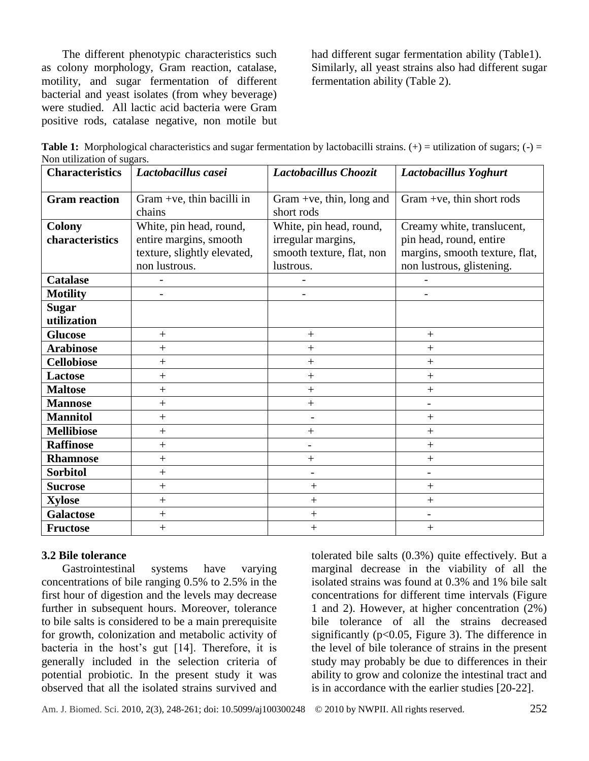The different phenotypic characteristics such as colony morphology, Gram reaction, catalase, motility, and sugar fermentation of different bacterial and yeast isolates (from whey beverage) were studied. All lactic acid bacteria were Gram positive rods, catalase negative, non motile but had different sugar fermentation ability (Table1). Similarly, all yeast strains also had different sugar fermentation ability (Table 2).

|                            | <b>Table 1:</b> Morphological characteristics and sugar fermentation by lactobacilli strains. $(+)$ = utilization of sugars; $(-)$ = |  |  |  |  |
|----------------------------|--------------------------------------------------------------------------------------------------------------------------------------|--|--|--|--|
| Non utilization of sugars. |                                                                                                                                      |  |  |  |  |

| <b>Characteristics</b> | Lactobacillus casei         | Lactobacillus Choozit     | Lactobacillus Yoghurt          |  |  |
|------------------------|-----------------------------|---------------------------|--------------------------------|--|--|
| <b>Gram reaction</b>   | Gram +ve, thin bacilli in   | Gram +ve, thin, long and  | Gram +ve, thin short rods      |  |  |
|                        | chains                      | short rods                |                                |  |  |
| <b>Colony</b>          | White, pin head, round,     | White, pin head, round,   | Creamy white, translucent,     |  |  |
| characteristics        | entire margins, smooth      | irregular margins,        | pin head, round, entire        |  |  |
|                        | texture, slightly elevated, | smooth texture, flat, non | margins, smooth texture, flat, |  |  |
|                        | non lustrous.               | lustrous.                 | non lustrous, glistening.      |  |  |
| <b>Catalase</b>        |                             |                           |                                |  |  |
| <b>Motility</b>        |                             |                           |                                |  |  |
| <b>Sugar</b>           |                             |                           |                                |  |  |
| utilization            |                             |                           |                                |  |  |
| <b>Glucose</b>         | $+$                         | $^{+}$                    | $+$                            |  |  |
| <b>Arabinose</b>       | $^{+}$                      | $^{+}$                    | $^+$                           |  |  |
| <b>Cellobiose</b>      | $+$                         | $\overline{+}$            | $+$                            |  |  |
| <b>Lactose</b>         | $\overline{+}$              | $\overline{+}$            | $\overline{+}$                 |  |  |
| <b>Maltose</b>         | $^{+}$                      | $^{+}$                    | $\overline{+}$                 |  |  |
| <b>Mannose</b>         | $^{+}$                      | $\overline{+}$            |                                |  |  |
| <b>Mannitol</b>        | $+$                         |                           | $+$                            |  |  |
| <b>Mellibiose</b>      | $^{+}$                      | $\overline{+}$            | $\! +$                         |  |  |
| <b>Raffinose</b>       | $+$                         |                           | $+$                            |  |  |
| <b>Rhamnose</b>        | $+$                         | $^{+}$                    | $+$                            |  |  |
| <b>Sorbitol</b>        | $+$                         | $\qquad \qquad -$         | $\qquad \qquad -$              |  |  |
| <b>Sucrose</b>         | $\overline{+}$              | $^{+}$                    | $+$                            |  |  |
| <b>Xylose</b>          | $\hspace{0.1mm} +$          | $^{+}$                    | $^{+}$                         |  |  |
| <b>Galactose</b>       | $\overline{+}$              | $\overline{+}$            |                                |  |  |
| <b>Fructose</b>        | $+$                         | $^{+}$                    | $^{+}$                         |  |  |

### **3.2 Bile tolerance**

Gastrointestinal systems have varying concentrations of bile ranging 0.5% to 2.5% in the first hour of digestion and the levels may decrease further in subsequent hours. Moreover, tolerance to bile salts is considered to be a main prerequisite for growth, colonization and metabolic activity of bacteria in the host's gut [14]. Therefore, it is generally included in the selection criteria of potential probiotic. In the present study it was observed that all the isolated strains survived and

tolerated bile salts (0.3%) quite effectively. But a marginal decrease in the viability of all the isolated strains was found at 0.3% and 1% bile salt concentrations for different time intervals (Figure 1 and 2). However, at higher concentration (2%) bile tolerance of all the strains decreased significantly ( $p<0.05$ , Figure 3). The difference in the level of bile tolerance of strains in the present study may probably be due to differences in their ability to grow and colonize the intestinal tract and is in accordance with the earlier studies [20-22].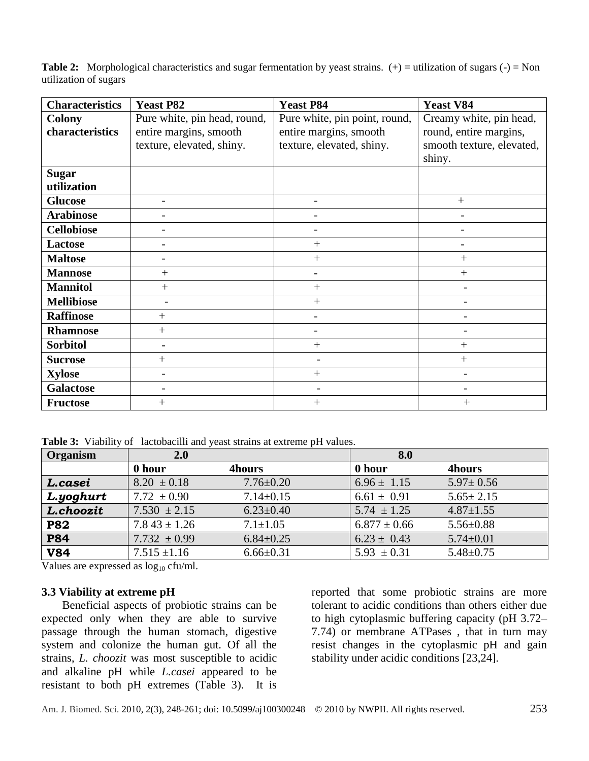**Table 2:** Morphological characteristics and sugar fermentation by yeast strains. (+) = utilization of sugars (-) = Non utilization of sugars

| <b>Characteristics</b> | <b>Yeast P82</b>             | <b>Yeast P84</b>              | <b>Yeast V84</b>          |
|------------------------|------------------------------|-------------------------------|---------------------------|
| <b>Colony</b>          | Pure white, pin head, round, | Pure white, pin point, round, | Creamy white, pin head,   |
| characteristics        | entire margins, smooth       | entire margins, smooth        | round, entire margins,    |
|                        | texture, elevated, shiny.    | texture, elevated, shiny.     | smooth texture, elevated, |
|                        |                              |                               | shiny.                    |
| <b>Sugar</b>           |                              |                               |                           |
| utilization            |                              |                               |                           |
| <b>Glucose</b>         |                              |                               | $+$                       |
| <b>Arabinose</b>       |                              |                               | $\qquad \qquad$           |
| <b>Cellobiose</b>      |                              |                               |                           |
| <b>Lactose</b>         |                              | $+$                           |                           |
| <b>Maltose</b>         |                              | $+$                           | $^{+}$                    |
| <b>Mannose</b>         | $^{+}$                       |                               | $^{+}$                    |
| <b>Mannitol</b>        | $^{+}$                       | $+$                           |                           |
| <b>Mellibiose</b>      |                              | $+$                           |                           |
| <b>Raffinose</b>       | $^{+}$                       |                               |                           |
| <b>Rhamnose</b>        | $\overline{+}$               |                               |                           |
| <b>Sorbitol</b>        |                              | $+$                           | $^{+}$                    |
| <b>Sucrose</b>         | $^{+}$                       |                               | $+$                       |
| <b>Xylose</b>          |                              | $+$                           |                           |
| <b>Galactose</b>       |                              |                               |                           |
| <b>Fructose</b>        | $^{+}$                       | $^{+}$                        | $^{+}$                    |

Table 3: Viability of lactobacilli and yeast strains at extreme pH values.

| Organism   | 2.0              |                 | 8.0              |                 |
|------------|------------------|-----------------|------------------|-----------------|
|            | 0 hour           | <b>4hours</b>   | 0 hour           | <b>4hours</b>   |
| L.casei    | $8.20 \pm 0.18$  | $7.76 \pm 0.20$ | $6.96 \pm 1.15$  | $5.97 \pm 0.56$ |
| L.yoghurt  | 7.72 $\pm 0.90$  | $7.14 \pm 0.15$ | $6.61 \pm 0.91$  | $5.65 \pm 2.15$ |
| L.choozit  | $7.530 \pm 2.15$ | $6.23 \pm 0.40$ | $5.74 \pm 1.25$  | $4.87 \pm 1.55$ |
| <b>P82</b> | $7.843 \pm 1.26$ | $7.1 \pm 1.05$  | $6.877 \pm 0.66$ | $5.56 + 0.88$   |
| <b>P84</b> | 7.732 $\pm 0.99$ | $6.84 \pm 0.25$ | $6.23 \pm 0.43$  | $5.74 \pm 0.01$ |
| <b>V84</b> | $7.515 \pm 1.16$ | $6.66 \pm 0.31$ | $5.93 \pm 0.31$  | $5.48 + 0.75$   |

Values are expressed as  $log_{10}$  cfu/ml.

#### **3.3 Viability at extreme pH**

Beneficial aspects of probiotic strains can be expected only when they are able to survive passage through the human stomach, digestive system and colonize the human gut. Of all the strains, *L. choozit* was most susceptible to acidic and alkaline pH while *L.casei* appeared to be resistant to both pH extremes (Table 3). It is

reported that some probiotic strains are more tolerant to acidic conditions than others either due to high cytoplasmic buffering capacity (pH 3.72– 7.74) or membrane ATPases , that in turn may resist changes in the cytoplasmic pH and gain stability under acidic conditions [23,24].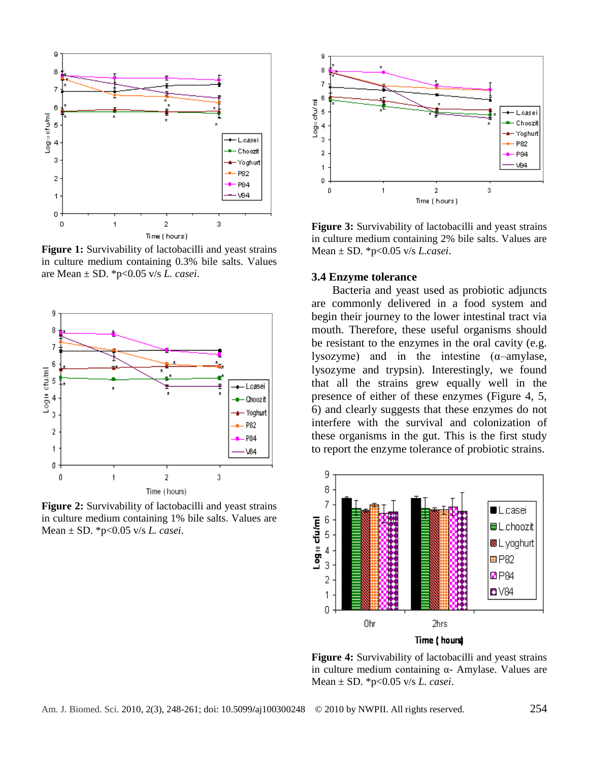

**Figure 1:** Survivability of lactobacilli and yeast strains in culture medium containing 0.3% bile salts. Values are Mean ± SD. \*p<0.05 v/s *L. casei*.



**Figure 2:** Survivability of lactobacilli and yeast strains in culture medium containing 1% bile salts. Values are Mean ± SD. \*p<0.05 v/s *L. casei*.



**Figure 3:** Survivability of lactobacilli and yeast strains in culture medium containing 2% bile salts. Values are Mean ± SD. \*p<0.05 v/s *L.casei*.

#### **3.4 Enzyme tolerance**

Bacteria and yeast used as probiotic adjuncts are commonly delivered in a food system and begin their journey to the lower intestinal tract via mouth. Therefore, these useful organisms should be resistant to the enzymes in the oral cavity (e.g. lysozyme) and in the intestine  $(\alpha$ -amylase, lysozyme and trypsin). Interestingly, we found that all the strains grew equally well in the presence of either of these enzymes (Figure 4, 5, 6) and clearly suggests that these enzymes do not interfere with the survival and colonization of these organisms in the gut. This is the first study to report the enzyme tolerance of probiotic strains.



**Figure 4:** Survivability of lactobacilli and yeast strains in culture medium containing α- Amylase. Values are Mean ± SD. \*p<0.05 v/s *L. casei*.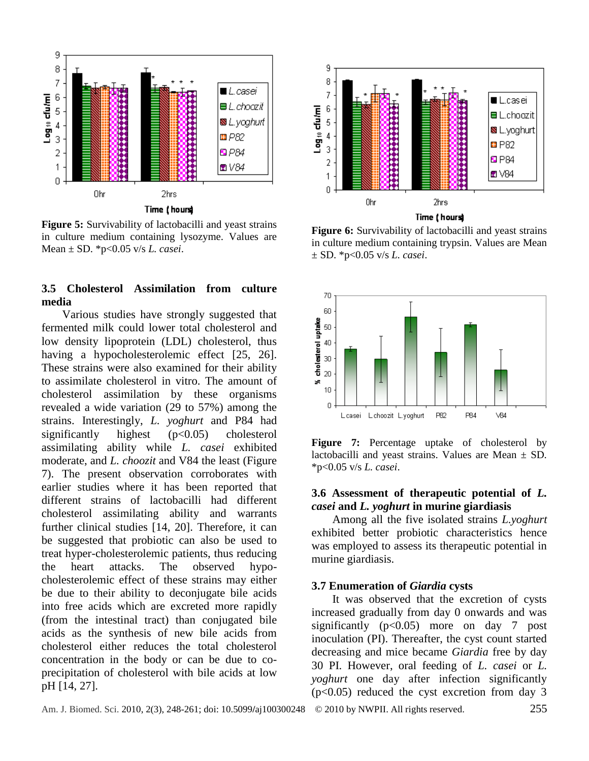

**Figure 5:** Survivability of lactobacilli and yeast strains in culture medium containing lysozyme. Values are Mean ± SD. \*p<0.05 v/s *L. casei*.

### **3.5 Cholesterol Assimilation from culture media**

Various studies have strongly suggested that fermented milk could lower total cholesterol and low density lipoprotein (LDL) cholesterol, thus having a hypocholesterolemic effect [25, 26]. These strains were also examined for their ability to assimilate cholesterol in vitro. The amount of cholesterol assimilation by these organisms revealed a wide variation (29 to 57%) among the strains. Interestingly, *L. yoghurt* and P84 had significantly highest (p<0.05) cholesterol assimilating ability while *L. casei* exhibited moderate, and *L. choozit* and V84 the least (Figure 7). The present observation corroborates with earlier studies where it has been reported that different strains of lactobacilli had different cholesterol assimilating ability and warrants further clinical studies [14, 20]. Therefore, it can be suggested that probiotic can also be used to treat hyper-cholesterolemic patients, thus reducing the heart attacks. The observed hypocholesterolemic effect of these strains may either be due to their ability to deconjugate bile acids into free acids which are excreted more rapidly (from the intestinal tract) than conjugated bile acids as the synthesis of new bile acids from cholesterol either reduces the total cholesterol concentration in the body or can be due to coprecipitation of cholesterol with bile acids at low pH [14, 27].



**Figure 6:** Survivability of lactobacilli and yeast strains in culture medium containing trypsin. Values are Mean ± SD. \*p<0.05 v/s *L. casei*.



**Figure 7:** Percentage uptake of cholesterol by lactobacilli and yeast strains. Values are Mean  $\pm$  SD. \*p<0.05 v/s *L. casei*.

### **3.6 Assessment of therapeutic potential of** *L. casei* **and** *L. yoghurt* **in murine giardiasis**

Among all the five isolated strains *L.yoghurt*  exhibited better probiotic characteristics hence was employed to assess its therapeutic potential in murine giardiasis.

#### **3.7 Enumeration of** *Giardia* **cysts**

It was observed that the excretion of cysts increased gradually from day 0 onwards and was significantly  $(p<0.05)$  more on day 7 post inoculation (PI). Thereafter, the cyst count started decreasing and mice became *Giardia* free by day 30 PI. However, oral feeding of *L. casei* or *L. yoghurt* one day after infection significantly  $(p<0.05)$  reduced the cyst excretion from day 3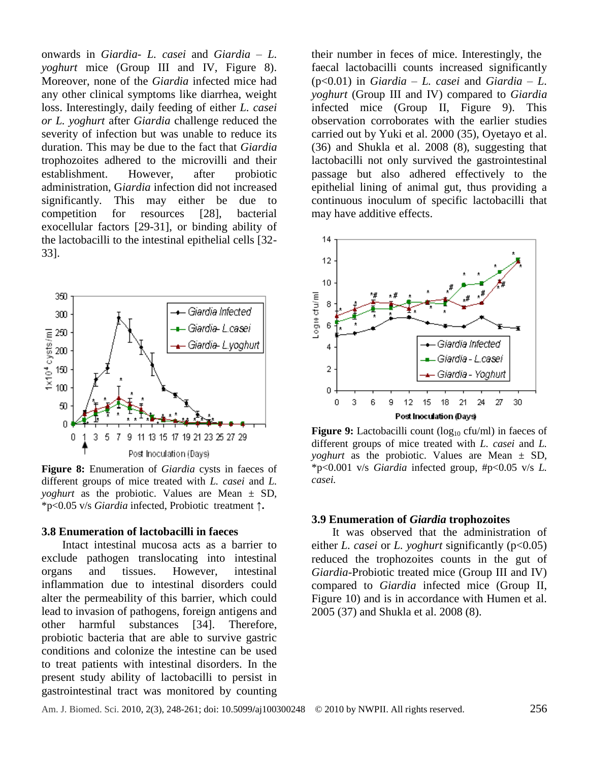onwards in *Giardia- L. casei* and *Giardia – L. yoghurt* mice (Group III and IV, Figure 8). Moreover, none of the *Giardia* infected mice had any other clinical symptoms like diarrhea, weight loss. Interestingly, daily feeding of either *L. casei or L. yoghurt* after *Giardia* challenge reduced the severity of infection but was unable to reduce its duration. This may be due to the fact that *Giardia*  trophozoites adhered to the microvilli and their establishment. However, after probiotic administration, G*iardia* infection did not increased significantly. This may either be due to competition for resources [28], bacterial exocellular factors [29-31], or binding ability of the lactobacilli to the intestinal epithelial cells [32- 33].



**Figure 8:** Enumeration of *Giardia* cysts in faeces of different groups of mice treated with *L. casei* and *L. yoghurt* as the probiotic. Values are Mean ± SD, \*p<0.05 v/s *Giardia* infected, Probiotic treatment **↑.**

#### **3.8 Enumeration of lactobacilli in faeces**

Intact intestinal mucosa acts as a barrier to exclude pathogen translocating into intestinal organs and tissues. However, intestinal inflammation due to intestinal disorders could alter the permeability of this barrier, which could lead to invasion of pathogens, foreign antigens and other harmful substances [34]. Therefore, probiotic bacteria that are able to survive gastric conditions and colonize the intestine can be used to treat patients with intestinal disorders. In the present study ability of lactobacilli to persist in gastrointestinal tract was monitored by counting

their number in feces of mice. Interestingly, the faecal lactobacilli counts increased significantly (p<0.01) in *Giardia – L. casei* and *Giardia – L. yoghurt* (Group III and IV) compared to *Giardia*  infected mice (Group II, Figure 9). This observation corroborates with the earlier studies carried out by Yuki et al. 2000 (35), Oyetayo et al. (36) and Shukla et al. 2008 (8), suggesting that lactobacilli not only survived the gastrointestinal passage but also adhered effectively to the epithelial lining of animal gut, thus providing a continuous inoculum of specific lactobacilli that may have additive effects.



**Figure 9:** Lactobacilli count (log<sub>10</sub> cfu/ml) in faeces of different groups of mice treated with *L. casei* and *L. yoghurt* as the probiotic. Values are Mean ± SD, \*p<0.001 v/s *Giardia* infected group, #p<0.05 v/s *L. casei.*

#### **3.9 Enumeration of** *Giardia* **trophozoites**

It was observed that the administration of either *L. casei* or *L. yoghurt* significantly (p<0.05) reduced the trophozoites counts in the gut of *Giardia*-Probiotic treated mice (Group III and IV) compared to *Giardia* infected mice (Group II, Figure 10) and is in accordance with Humen et al. 2005 (37) and Shukla et al. 2008 (8).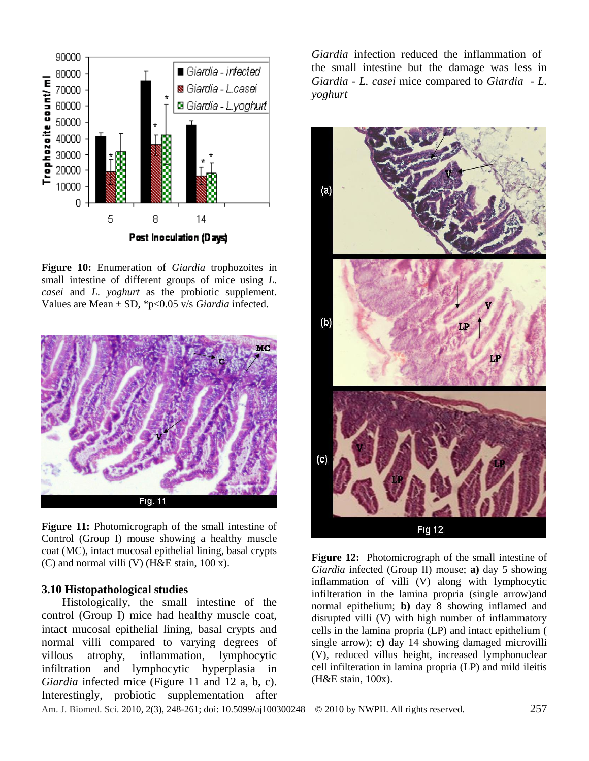

**Figure 10:** Enumeration of *Giardia* trophozoites in small intestine of different groups of mice using *L. casei* and *L. yoghurt* as the probiotic supplement. Values are Mean ± SD, \*p<0.05 v/s *Giardia* infected.



**Figure 11:** Photomicrograph of the small intestine of Control (Group I) mouse showing a healthy muscle coat (MC), intact mucosal epithelial lining, basal crypts (C) and normal villi (V) (H&E stain, 100 x).

#### **3.10 Histopathological studies**

Histologically, the small intestine of the control (Group I) mice had healthy muscle coat, intact mucosal epithelial lining, basal crypts and normal villi compared to varying degrees of villous atrophy, inflammation, lymphocytic infiltration and lymphocytic hyperplasia in *Giardia* infected mice (Figure 11 and 12 a, b, c). Interestingly, probiotic supplementation after

*Giardia* infection reduced the inflammation of the small intestine but the damage was less in *Giardia* - *L. casei* mice compared to *Giardia* - *L. yoghurt*



**Figure 12:** Photomicrograph of the small intestine of *Giardia* infected (Group II) mouse; **a)** day 5 showing inflammation of villi (V) along with lymphocytic infilteration in the lamina propria (single arrow)and normal epithelium; **b)** day 8 showing inflamed and disrupted villi (V) with high number of inflammatory cells in the lamina propria (LP) and intact epithelium ( single arrow); **c)** day 14 showing damaged microvilli (V), reduced villus height, increased lymphonuclear cell infilteration in lamina propria (LP) and mild ileitis (H&E stain, 100x).

Am. J. Biomed. Sci. 2010, 2(3), 248-261; doi: 10.5099**/**aj100300248© 2010 by NWPII. All rights reserved. 257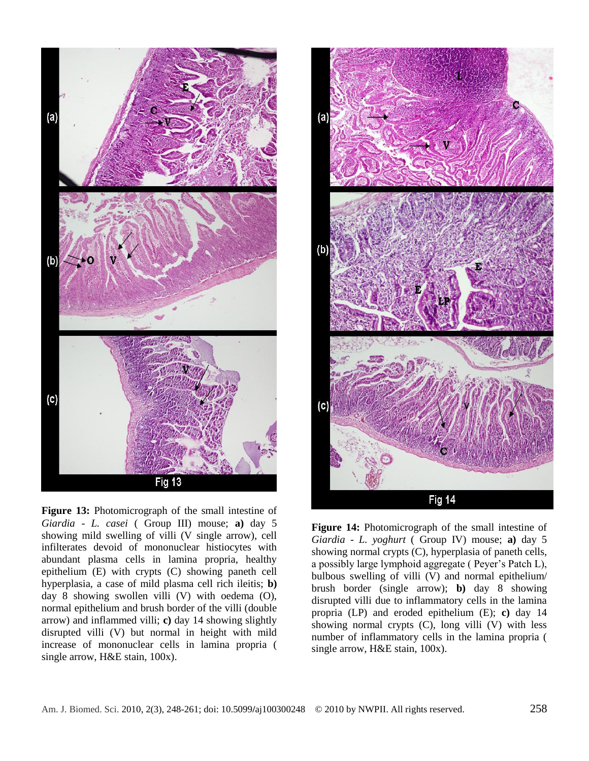

**Figure 13:** Photomicrograph of the small intestine of *Giardia* - *L. casei* ( Group III) mouse; **a)** day 5 showing mild swelling of villi (V single arrow), cell infilterates devoid of mononuclear histiocytes with abundant plasma cells in lamina propria, healthy epithelium (E) with crypts (C) showing paneth cell hyperplasia, a case of mild plasma cell rich ileitis; **b)** day 8 showing swollen villi (V) with oedema (O), normal epithelium and brush border of the villi (double arrow) and inflammed villi; **c)** day 14 showing slightly disrupted villi (V) but normal in height with mild increase of mononuclear cells in lamina propria ( single arrow, H&E stain, 100x).



**Figure 14:** Photomicrograph of the small intestine of *Giardia* - *L. yoghurt* ( Group IV) mouse; **a)** day 5 showing normal crypts (C), hyperplasia of paneth cells, a possibly large lymphoid aggregate ( Peyer's Patch L), bulbous swelling of villi (V) and normal epithelium/ brush border (single arrow); **b)** day 8 showing disrupted villi due to inflammatory cells in the lamina propria (LP) and eroded epithelium (E); **c)** day 14 showing normal crypts (C), long villi (V) with less number of inflammatory cells in the lamina propria ( single arrow, H&E stain, 100x).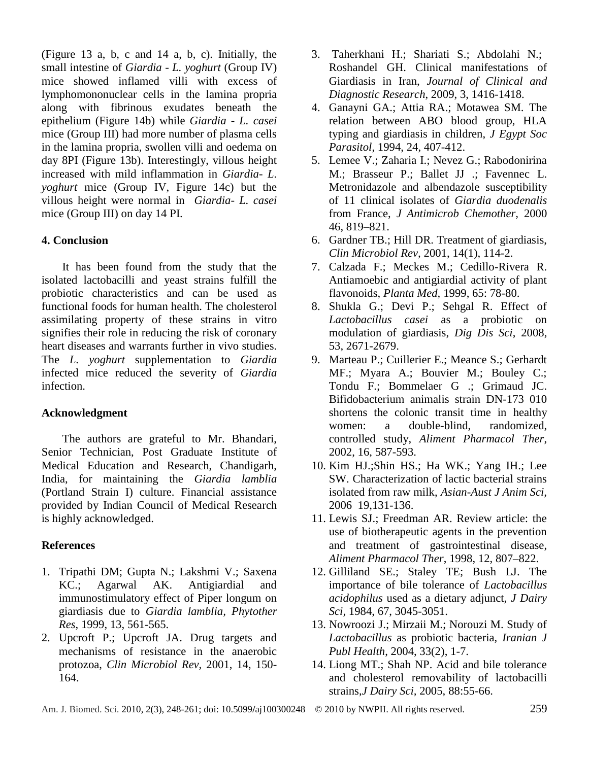(Figure 13 a, b, c and 14 a, b, c). Initially, the small intestine of *Giardia - L. yoghurt* (Group IV) mice showed inflamed villi with excess of lymphomononuclear cells in the lamina propria along with fibrinous exudates beneath the epithelium (Figure 14b) while *Giardia - L. casei* mice (Group III) had more number of plasma cells in the lamina propria, swollen villi and oedema on day 8PI (Figure 13b). Interestingly, villous height increased with mild inflammation in *Giardia- L. yoghurt* mice (Group IV, Figure 14c) but the villous height were normal in *Giardia- L. casei*  mice (Group III) on day 14 PI.

# **4. Conclusion**

It has been found from the study that the isolated lactobacilli and yeast strains fulfill the probiotic characteristics and can be used as functional foods for human health. The cholesterol assimilating property of these strains in vitro signifies their role in reducing the risk of coronary heart diseases and warrants further in vivo studies. The *L. yoghurt* supplementation to *Giardia* infected mice reduced the severity of *Giardia* infection.

# **Acknowledgment**

The authors are grateful to Mr. Bhandari, Senior Technician, Post Graduate Institute of Medical Education and Research, Chandigarh, India, for maintaining the *Giardia lamblia* (Portland Strain I) culture. Financial assistance provided by Indian Council of Medical Research is highly acknowledged.

# **References**

- 1. Tripathi DM; Gupta N.; Lakshmi V.; Saxena KC.; Agarwal AK. Antigiardial and immunostimulatory effect of Piper longum on giardiasis due to *Giardia lamblia, Phytother Res*, 1999, 13, 561-565.
- 2. Upcroft P.; Upcroft JA. Drug targets and mechanisms of resistance in the anaerobic protozoa, *Clin Microbiol Rev,* 2001, 14, 150- 164.
- 3. Taherkhani H.; Shariati S.; Abdolahi N.; Roshandel GH. Clinical manifestations of Giardiasis in Iran, *Journal of Clinical and Diagnostic Research*, 2009, 3, 1416-1418.
- 4. Ganayni GA.; Attia RA.; Motawea SM. The relation between ABO blood group, HLA typing and giardiasis in children, *J Egypt Soc Parasitol*, 1994, 24, 407-412.
- 5. Lemee V.; Zaharia I.; Nevez G.; Rabodonirina M.; Brasseur P.; Ballet JJ .; Favennec L. Metronidazole and albendazole susceptibility of 11 clinical isolates of *Giardia duodenalis*  from France, *J Antimicrob Chemother,* 2000 46, 819–821.
- 6. [Gardner TB.](http://view.ncbi.nlm.nih.gov/pubmed/11148005); Hill DR. Treatment of giardiasis, *Clin Microbiol Rev,* 2001, 14(1), 114-2.
- 7. Calzada F.; Meckes M.; Cedillo-Rivera R. Antiamoebic and antigiardial activity of plant flavonoids, *Planta Med,* 1999, 65: 78-80.
- 8. Shukla G.; Devi P.; Sehgal R. Effect of *Lactobacillus casei* as a probiotic on modulation of giardiasis, *Dig Dis Sci*, 2008, 53, 2671-2679.
- 9. Marteau P.; Cuillerier E.; Meance S.; Gerhardt MF.; Myara A.; Bouvier M.; Bouley C.; Tondu F.; Bommelaer G .; Grimaud JC. Bifidobacterium animalis strain DN-173 010 shortens the colonic transit time in healthy women: a double-blind, randomized, controlled study, *Aliment Pharmacol Ther*, 2002, 16, 587-593.
- 10. Kim HJ.;Shin HS.; Ha WK.; Yang IH.; Lee SW. Characterization of lactic bacterial strains isolated from raw milk, *Asian-Aust J Anim Sci,*  2006 19,131-136.
- 11. Lewis SJ.; Freedman AR. Review article: the use of biotherapeutic agents in the prevention and treatment of gastrointestinal disease, *Aliment Pharmacol Ther*, 1998, 12, 807–822.
- 12. Gilliland SE.; Staley TE; Bush LJ. The importance of bile tolerance of *Lactobacillus acidophilus* used as a dietary adjunct, *J Dairy Sci,* 1984, 67, 3045-3051.
- 13. Nowroozi J.; Mirzaii M.; Norouzi M. Study of *Lactobacillus* as probiotic bacteria, *Iranian J Publ Health*, 2004, 33(2), 1-7.
- 14. Liong MT.; Shah NP. Acid and bile tolerance and cholesterol removability of lactobacilli strains,*J Dairy Sci,* 2005, 88:55-66.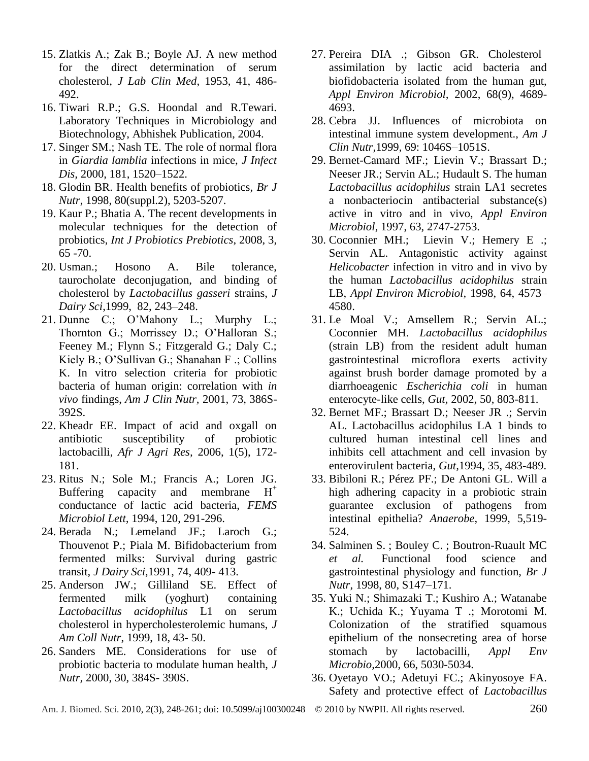- 15. Zlatkis A.; Zak B.; Boyle AJ. A new method for the direct determination of serum cholesterol, *J Lab Clin Med*, 1953, 41, 486- 492.
- 16. Tiwari R.P.; G.S. Hoondal and R.Tewari. Laboratory Techniques in Microbiology and Biotechnology, Abhishek Publication, 2004.
- 17. Singer SM.; Nash TE. The role of normal flora in *Giardia lamblia* infections in mice, *J Infect Dis,* 2000, 181, 1520–1522.
- 18. Glodin BR. Health benefits of probiotics, *Br J Nutr*, 1998, 80(suppl.2), 5203-5207.
- 19. Kaur P.; Bhatia A. The recent developments in molecular techniques for the detection of probiotics, *Int J Probiotics Prebiotics*, 2008, 3, 65 -70.
- 20. Usman.: Hosono A. Bile tolerance, taurocholate deconjugation, and binding of cholesterol by *Lactobacillus gasseri* strains, *J Dairy Sci*,1999, 82, 243–248.
- 21. Dunne C.; O'Mahony L.; Murphy L.; Thornton G.; Morrissey D.; O'Halloran S.; Feeney M.; Flynn S.; Fitzgerald G.; Daly C.; Kiely B.; O'Sullivan G.; Shanahan F .; Collins K. In vitro selection criteria for probiotic bacteria of human origin: correlation with *in vivo* findings, *Am J Clin Nutr,* 2001, 73, 386S-392S.
- 22. Kheadr EE. Impact of acid and oxgall on antibiotic susceptibility of probiotic lactobacilli, *Afr J Agri Res,* 2006, 1(5), 172- 181.
- 23. Ritus N.; Sole M.; Francis A.; Loren JG. Buffering capacity and membrane  $H^+$ conductance of lactic acid bacteria, *FEMS Microbiol Lett,* 1994, 120, 291-296.
- 24. Berada N.; Lemeland JF.; Laroch G.; Thouvenot P.; Piala M. Bifidobacterium from fermented milks: Survival during gastric transit, *J Dairy Sci*,1991, 74, 409- 413.
- 25. Anderson JW.; Gilliland SE. Effect of fermented milk (yoghurt) containing *Lactobacillus acidophilus* L1 on serum cholesterol in hypercholesterolemic humans, *J Am Coll Nutr*, 1999, 18, 43- 50.
- 26. Sanders ME. Considerations for use of probiotic bacteria to modulate human health, *J Nutr,* 2000, 30, 384S- 390S.
- 27. Pereira DIA .; Gibson GR. Cholesterol assimilation by lactic acid bacteria and biofidobacteria isolated from the human gut, *Appl Environ Microbiol,* 2002, 68(9), 4689- 4693.
- 28. Cebra JJ. Influences of microbiota on intestinal immune system development., *Am J Clin Nutr,*1999, 69: 1046S–1051S.
- 29. Bernet-Camard MF.; Lievin V.; Brassart D.; Neeser JR.; Servin AL.; Hudault S. The human *Lactobacillus acidophilus* strain LA1 secretes a nonbacteriocin antibacterial substance(s) active in vitro and in vivo, *Appl Environ Microbiol*, 1997, 63, 2747-2753.
- 30. Coconnier MH.; Lievin V.; Hemery E .; Servin AL. Antagonistic activity against *Helicobacter* infection in vitro and in vivo by the human *Lactobacillus acidophilus* strain LB, *Appl Environ Microbiol,* 1998, 64, 4573– 4580.
- 31. Le Moal V.; Amsellem R.; Servin AL.; Coconnier MH. *Lactobacillus acidophilus* (strain LB) from the resident adult human gastrointestinal microflora exerts activity against brush border damage promoted by a diarrhoeagenic *Escherichia coli* in human enterocyte-like cells, *Gut,* 2002, 50, 803-811.
- 32. Bernet MF.; Brassart D.; Neeser JR .; Servin AL. Lactobacillus acidophilus LA 1 binds to cultured human intestinal cell lines and inhibits cell attachment and cell invasion by enterovirulent bacteria, *Gut,*1994, 35, 483-489.
- 33. Bibiloni R.; Pérez PF.; De Antoni GL. Will a high adhering capacity in a probiotic strain guarantee exclusion of pathogens from intestinal epithelia? *Anaerobe*, 1999, 5,519- 524.
- 34. Salminen S. ; Bouley C. ; Boutron-Ruault MC *et al.* Functional food science and gastrointestinal physiology and function, *Br J Nutr*, 1998, 80, S147–171.
- 35. Yuki N.; Shimazaki T.; Kushiro A.; Watanabe K.; Uchida K.; Yuyama T .; Morotomi M. Colonization of the stratified squamous epithelium of the nonsecreting area of horse stomach by lactobacilli, *Appl Env Microbio,*2000, 66, 5030-5034.
- 36. Oyetayo VO.; Adetuyi FC.; Akinyosoye FA. Safety and protective effect of *Lactobacillus*